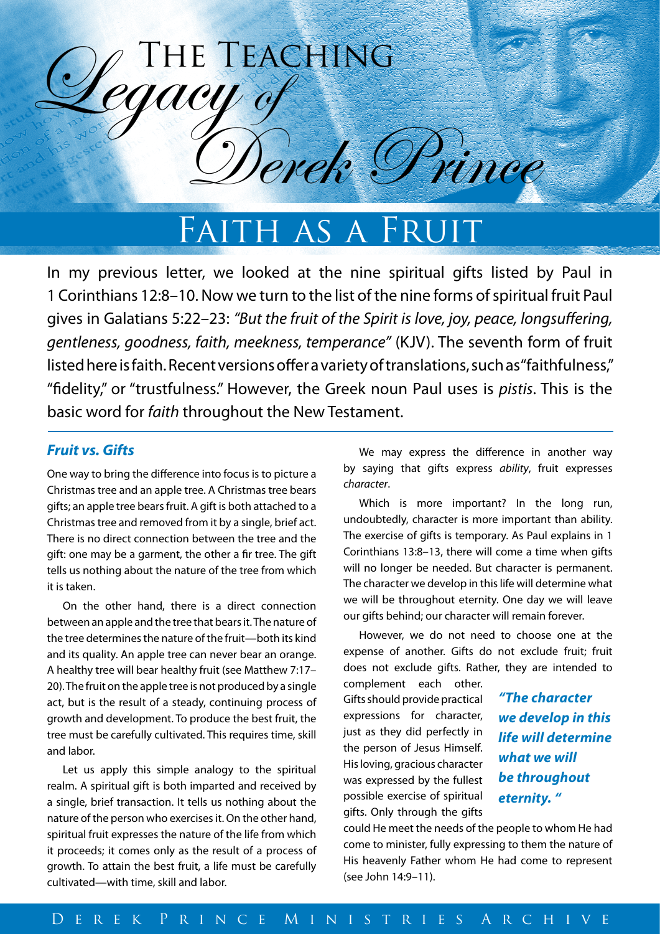

FAITH AS A FRUIT

In my previous letter, we looked at the nine spiritual gifts listed by Paul in 1 Corinthians 12:8–10. Now we turn to the list of the nine forms of spiritual fruit Paul gives in Galatians 5:22–23: *"But the fruit of the Spirit is love, joy, peace, longsuffering, gentleness, goodness, faith, meekness, temperance"* (KJV). The seventh form of fruit listed here is faith. Recent versions offer a variety of translations, such as "faithfulness," "fidelity," or "trustfulness." However, the Greek noun Paul uses is *pistis*. This is the basic word for *faith* throughout the New Testament.

# *Fruit vs. Gifts*

One way to bring the difference into focus is to picture a Christmas tree and an apple tree. A Christmas tree bears gifts; an apple tree bears fruit. A gift is both attached to a Christmas tree and removed from it by a single, brief act. There is no direct connection between the tree and the gift: one may be a garment, the other a fir tree. The gift tells us nothing about the nature of the tree from which it is taken.

On the other hand, there is a direct connection between an apple and the tree that bears it. The nature of the tree determines the nature of the fruit—both its kind and its quality. An apple tree can never bear an orange. A healthy tree will bear healthy fruit (see Matthew 7:17– 20). The fruit on the apple tree is not produced by a single act, but is the result of a steady, continuing process of growth and development. To produce the best fruit, the tree must be carefully cultivated. This requires time, skill and labor.

Let us apply this simple analogy to the spiritual realm. A spiritual gift is both imparted and received by a single, brief transaction. It tells us nothing about the nature of the person who exercises it. On the other hand, spiritual fruit expresses the nature of the life from which it proceeds; it comes only as the result of a process of growth. To attain the best fruit, a life must be carefully cultivated—with time, skill and labor.

We may express the difference in another way by saying that gifts express *ability*, fruit expresses *character*.

Which is more important? In the long run, undoubtedly, character is more important than ability. The exercise of gifts is temporary. As Paul explains in 1 Corinthians 13:8–13, there will come a time when gifts will no longer be needed. But character is permanent. The character we develop in this life will determine what we will be throughout eternity. One day we will leave our gifts behind; our character will remain forever.

However, we do not need to choose one at the expense of another. Gifts do not exclude fruit; fruit does not exclude gifts. Rather, they are intended to

complement each other. Gifts should provide practical expressions for character, just as they did perfectly in the person of Jesus Himself. His loving, gracious character was expressed by the fullest possible exercise of spiritual gifts. Only through the gifts

*"The character we develop in this life will determine what we will be throughout eternity. "*

could He meet the needs of the people to whom He had come to minister, fully expressing to them the nature of His heavenly Father whom He had come to represent (see John 14:9–11).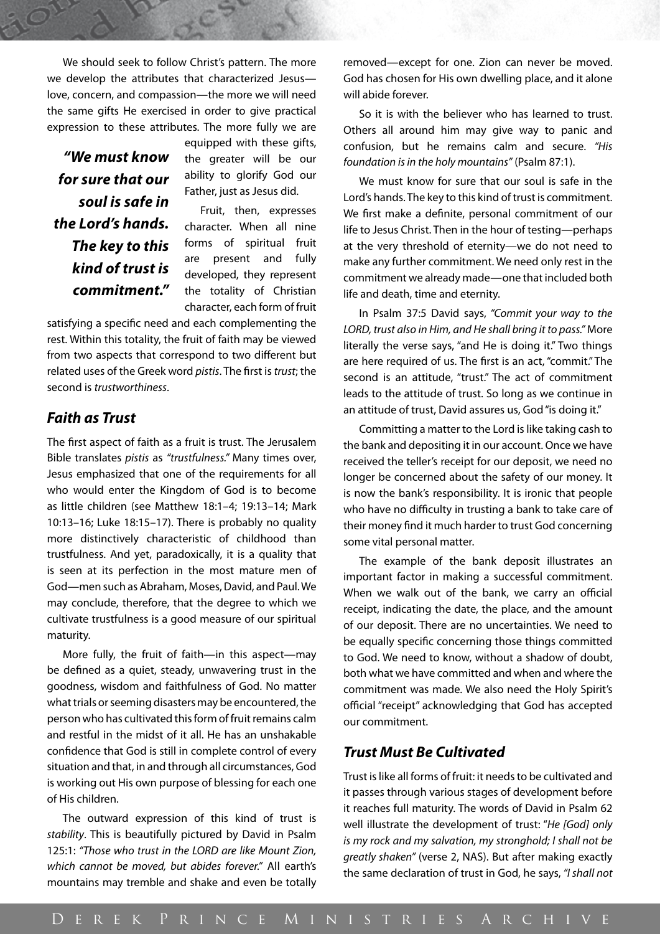We should seek to follow Christ's pattern. The more we develop the attributes that characterized Jesus love, concern, and compassion—the more we will need the same gifts He exercised in order to give practical expression to these attributes. The more fully we are

*"We must know for sure that our soul is safe in the Lord's hands. The key to this kind of trust is commitment."*  equipped with these gifts, the greater will be our ability to glorify God our Father, just as Jesus did.

Fruit, then, expresses character. When all nine forms of spiritual fruit are present and fully developed, they represent the totality of Christian character, each form of fruit

satisfying a specific need and each complementing the rest. Within this totality, the fruit of faith may be viewed from two aspects that correspond to two different but related uses of the Greek word *pistis*. The first is *trust*; the second is *trustworthiness*.

# *Faith as Trust*

The first aspect of faith as a fruit is trust. The Jerusalem Bible translates *pistis* as *"trustfulness."* Many times over, Jesus emphasized that one of the requirements for all who would enter the Kingdom of God is to become as little children (see Matthew 18:1–4; 19:13–14; Mark 10:13–16; Luke 18:15–17). There is probably no quality more distinctively characteristic of childhood than trustfulness. And yet, paradoxically, it is a quality that is seen at its perfection in the most mature men of God—men such as Abraham, Moses, David, and Paul. We may conclude, therefore, that the degree to which we cultivate trustfulness is a good measure of our spiritual maturity.

More fully, the fruit of faith—in this aspect—may be defined as a quiet, steady, unwavering trust in the goodness, wisdom and faithfulness of God. No matter what trials or seeming disasters may be encountered, the person who has cultivated this form of fruit remains calm and restful in the midst of it all. He has an unshakable confidence that God is still in complete control of every situation and that, in and through all circumstances, God is working out His own purpose of blessing for each one of His children.

The outward expression of this kind of trust is *stability*. This is beautifully pictured by David in Psalm 125:1: *"Those who trust in the LORD are like Mount Zion, which cannot be moved, but abides forever."* All earth's mountains may tremble and shake and even be totally removed—except for one. Zion can never be moved. God has chosen for His own dwelling place, and it alone will abide forever.

So it is with the believer who has learned to trust. Others all around him may give way to panic and confusion, but he remains calm and secure. *"His foundation is in the holy mountains"* (Psalm 87:1).

We must know for sure that our soul is safe in the Lord's hands. The key to this kind of trust is commitment. We first make a definite, personal commitment of our life to Jesus Christ. Then in the hour of testing—perhaps at the very threshold of eternity—we do not need to make any further commitment. We need only rest in the commitment we already made—one that included both life and death, time and eternity.

In Psalm 37:5 David says, *"Commit your way to the LORD, trust also in Him, and He shall bring it to pass."* More literally the verse says, "and He is doing it." Two things are here required of us. The first is an act, "commit." The second is an attitude, "trust." The act of commitment leads to the attitude of trust. So long as we continue in an attitude of trust, David assures us, God "is doing it."

Committing a matter to the Lord is like taking cash to the bank and depositing it in our account. Once we have received the teller's receipt for our deposit, we need no longer be concerned about the safety of our money. It is now the bank's responsibility. It is ironic that people who have no difficulty in trusting a bank to take care of their money find it much harder to trust God concerning some vital personal matter.

The example of the bank deposit illustrates an important factor in making a successful commitment. When we walk out of the bank, we carry an official receipt, indicating the date, the place, and the amount of our deposit. There are no uncertainties. We need to be equally specific concerning those things committed to God. We need to know, without a shadow of doubt, both what we have committed and when and where the commitment was made. We also need the Holy Spirit's official "receipt" acknowledging that God has accepted our commitment.

## *Trust Must Be Cultivated*

Trust is like all forms of fruit: it needs to be cultivated and it passes through various stages of development before it reaches full maturity. The words of David in Psalm 62 well illustrate the development of trust: "*He [God] only is my rock and my salvation, my stronghold; I shall not be greatly shaken"* (verse 2, NAS). But after making exactly the same declaration of trust in God, he says, *"I shall not*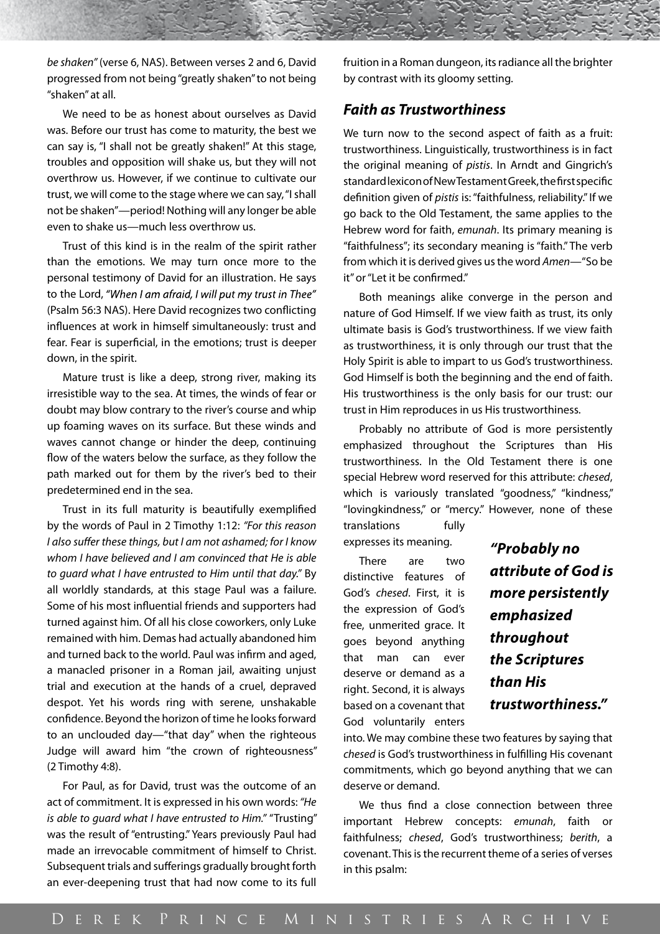*be shaken"* (verse 6, NAS). Between verses 2 and 6, David progressed from not being "greatly shaken" to not being "shaken" at all.

We need to be as honest about ourselves as David was. Before our trust has come to maturity, the best we can say is, "I shall not be greatly shaken!" At this stage, troubles and opposition will shake us, but they will not overthrow us. However, if we continue to cultivate our trust, we will come to the stage where we can say, "I shall not be shaken"—period! Nothing will any longer be able even to shake us—much less overthrow us.

Trust of this kind is in the realm of the spirit rather than the emotions. We may turn once more to the personal testimony of David for an illustration. He says to the Lord, "When I am afraid, I will put my trust in Thee" (Psalm 56:3 NAS). Here David recognizes two conflicting influences at work in himself simultaneously: trust and fear. Fear is superficial, in the emotions; trust is deeper down, in the spirit.

Mature trust is like a deep, strong river, making its irresistible way to the sea. At times, the winds of fear or doubt may blow contrary to the river's course and whip up foaming waves on its surface. But these winds and waves cannot change or hinder the deep, continuing flow of the waters below the surface, as they follow the path marked out for them by the river's bed to their predetermined end in the sea.

Trust in its full maturity is beautifully exemplified by the words of Paul in 2 Timothy 1:12: *"For this reason I also suffer these things, but I am not ashamed; for I know whom I have believed and I am convinced that He is able to guard what I have entrusted to Him until that day."* By all worldly standards, at this stage Paul was a failure. Some of his most influential friends and supporters had turned against him. Of all his close coworkers, only Luke remained with him. Demas had actually abandoned him and turned back to the world. Paul was infirm and aged, a manacled prisoner in a Roman jail, awaiting unjust trial and execution at the hands of a cruel, depraved despot. Yet his words ring with serene, unshakable confidence. Beyond the horizon of time he looks forward to an unclouded day—"that day" when the righteous Judge will award him "the crown of righteousness" (2 Timothy 4:8).

For Paul, as for David, trust was the outcome of an act of commitment. It is expressed in his own words: *"He is able to guard what I have entrusted to Him."* "Trusting" was the result of "entrusting." Years previously Paul had made an irrevocable commitment of himself to Christ. Subsequent trials and sufferings gradually brought forth an ever-deepening trust that had now come to its full

fruition in a Roman dungeon, its radiance all the brighter by contrast with its gloomy setting.

## *Faith as Trustworthiness*

We turn now to the second aspect of faith as a fruit: trustworthiness. Linguistically, trustworthiness is in fact the original meaning of *pistis*. In Arndt and Gingrich's standard lexicon of New Testament Greek, the first specific definition given of *pistis* is: "faithfulness, reliability." If we go back to the Old Testament, the same applies to the Hebrew word for faith, *emunah*. Its primary meaning is "faithfulness"; its secondary meaning is "faith." The verb from which it is derived gives us the word *Amen*—"So be it" or "Let it be confirmed."

Both meanings alike converge in the person and nature of God Himself. If we view faith as trust, its only ultimate basis is God's trustworthiness. If we view faith as trustworthiness, it is only through our trust that the Holy Spirit is able to impart to us God's trustworthiness. God Himself is both the beginning and the end of faith. His trustworthiness is the only basis for our trust: our trust in Him reproduces in us His trustworthiness.

Probably no attribute of God is more persistently emphasized throughout the Scriptures than His trustworthiness. In the Old Testament there is one special Hebrew word reserved for this attribute: *chesed*, which is variously translated "goodness," "kindness," "lovingkindness," or "mercy." However, none of these

translations fully expresses its meaning.

There are two distinctive features of God's *chesed*. First, it is the expression of God's free, unmerited grace. It goes beyond anything that man can ever deserve or demand as a right. Second, it is always based on a covenant that God voluntarily enters

*"Probably no attribute of God is more persistently emphasized throughout the Scriptures than His trustworthiness."*

into. We may combine these two features by saying that *chesed* is God's trustworthiness in fulfilling His covenant commitments, which go beyond anything that we can deserve or demand.

We thus find a close connection between three important Hebrew concepts: *emunah*, faith or faithfulness; *chesed*, God's trustworthiness; *berith*, a covenant. This is the recurrent theme of a series of verses in this psalm: